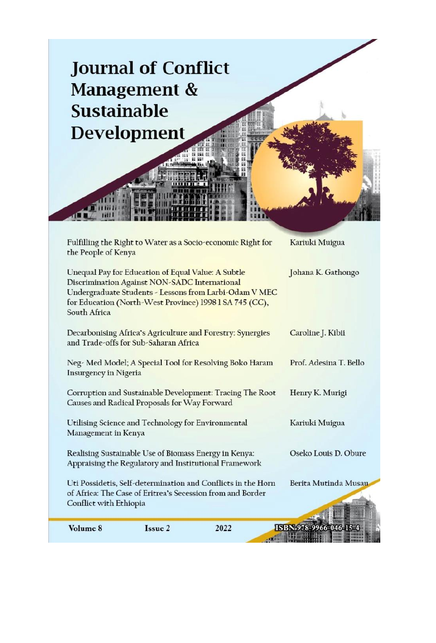| <b>Sustainable</b>                                                                                       | <b>Journal of Conflict</b><br>Management &<br><b>Development</b>                                               |                                                                                                                            |                        |  |
|----------------------------------------------------------------------------------------------------------|----------------------------------------------------------------------------------------------------------------|----------------------------------------------------------------------------------------------------------------------------|------------------------|--|
| the People of Kenya                                                                                      |                                                                                                                | Fulfilling the Right to Water as a Socio-economic Right for                                                                | Kariuki Muigua         |  |
| South Africa                                                                                             | Unequal Pay for Education of Equal Value: A Subtle<br>Discrimination Against NON-SADC International            | Undergraduate Students - Lessons from Larbi-Odam V MEC<br>for Education (North-West Province) 1998 1 SA 745 (CC),          | Johana K. Gathongo     |  |
|                                                                                                          | and Trade-offs for Sub-Saharan Africa                                                                          | Decarbonising Africa's Agriculture and Forestry: Synergies                                                                 | Caroline J. Kibii      |  |
| Insurgency in Nigeria                                                                                    |                                                                                                                | Neg- Med Model; A Special Tool for Resolving Boko Haram                                                                    | Prof. Adesina T. Bello |  |
| Corruption and Sustainable Development: Tracing The Root<br>Causes and Radical Proposals for Way Forward |                                                                                                                |                                                                                                                            | Henry K. Murigi        |  |
| Management in Kenya                                                                                      | Utilising Science and Technology for Environmental                                                             |                                                                                                                            | Kariuki Muigua         |  |
|                                                                                                          | Realising Sustainable Use of Biomass Energy in Kenya:<br>Appraising the Regulatory and Institutional Framework |                                                                                                                            | Oseko Louis D. Obure   |  |
| Conflict with Ethiopia                                                                                   |                                                                                                                | Uti Possidetis, Self-determination and Conflicts in the Horn<br>of Africa: The Case of Eritrea's Secession from and Border | Berita Mutinda Musau   |  |
| Volume 8                                                                                                 | Issue 2                                                                                                        | 2022                                                                                                                       | ISBN 978-9966-046-15-4 |  |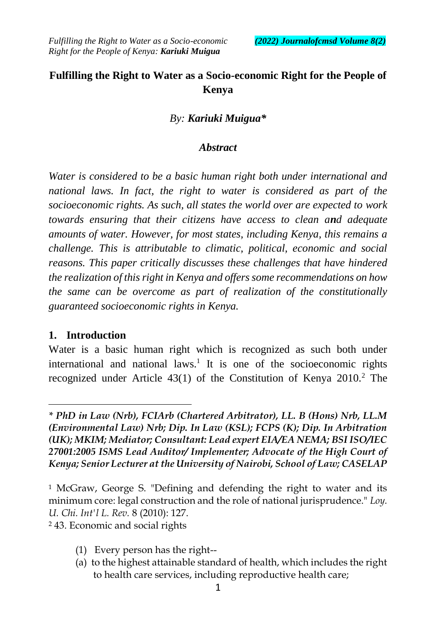## **Fulfilling the Right to Water as a Socio-economic Right for the People of Kenya**

#### *By: Kariuki Muigua\**

#### *Abstract*

*Water is considered to be a basic human right both under international and national laws. In fact, the right to water is considered as part of the socioeconomic rights. As such, all states the world over are expected to work towards ensuring that their citizens have access to clean and adequate amounts of water. However, for most states, including Kenya, this remains a challenge. This is attributable to climatic, political, economic and social reasons. This paper critically discusses these challenges that have hindered the realization of this right in Kenya and offers some recommendations on how the same can be overcome as part of realization of the constitutionally guaranteed socioeconomic rights in Kenya.* 

#### **1. Introduction**

 $\overline{a}$ 

Water is a basic human right which is recognized as such both under international and national laws.<sup>1</sup> It is one of the socioeconomic rights recognized under Article 43(1) of the Constitution of Kenya 2010.<sup>2</sup> The

<sup>2</sup> 43. Economic and social rights

- (1) Every person has the right--
- (a) to the highest attainable standard of health, which includes the right to health care services, including reproductive health care;

*<sup>\*</sup> PhD in Law (Nrb), FCIArb (Chartered Arbitrator), LL. B (Hons) Nrb, LL.M (Environmental Law) Nrb; Dip. In Law (KSL); FCPS (K); Dip. In Arbitration (UK); MKIM; Mediator; Consultant: Lead expert EIA/EA NEMA; BSI ISO/IEC 27001:2005 ISMS Lead Auditor/ Implementer; Advocate of the High Court of Kenya; Senior Lecturer at the University of Nairobi, School of Law; CASELAP* 

<sup>&</sup>lt;sup>1</sup> McGraw, George S. "Defining and defending the right to water and its minimum core: legal construction and the role of national jurisprudence." *Loy. U. Chi. Int'l L. Rev.* 8 (2010): 127.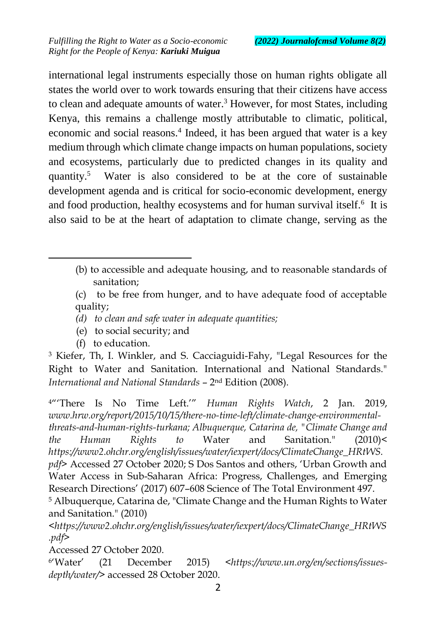international legal instruments especially those on human rights obligate all states the world over to work towards ensuring that their citizens have access to clean and adequate amounts of water.<sup>3</sup> However, for most States, including Kenya, this remains a challenge mostly attributable to climatic, political, economic and social reasons.<sup>4</sup> Indeed, it has been argued that water is a key medium through which climate change impacts on human populations, society and ecosystems, particularly due to predicted changes in its quality and quantity.<sup>5</sup> Water is also considered to be at the core of sustainable development agenda and is critical for socio-economic development, energy and food production, healthy ecosystems and for human survival itself.<sup>6</sup> It is also said to be at the heart of adaptation to climate change, serving as the

- (b) to accessible and adequate housing, and to reasonable standards of sanitation;
- (c) to be free from hunger, and to have adequate food of acceptable quality;
- *(d) to clean and safe water in adequate quantities;*
- (e) to social security; and
- (f) to education.

 $\ddot{\phantom{a}}$ 

<sup>3</sup> Kiefer, Th, I. Winkler, and S. Cacciaguidi-Fahy, "Legal Resources for the Right to Water and Sanitation. International and National Standards." *International and National Standards* – 2 nd Edition (2008).

<sup>4</sup>"'There Is No Time Left.'" *Human Rights Watch*, 2 Jan. 2019, *www.hrw.org/report/2015/10/15/there-no-time-left/climate-change-environmentalthreats-and-human-rights-turkana; Albuquerque, Catarina de, "Climate Change and the Human Rights to* Water and Sanitation." (2010)< *https://www2.ohchr.org/english/issues/water/iexpert/docs/ClimateChange\_HRtWS. pdf>* Accessed 27 October 2020; S Dos Santos and others, 'Urban Growth and Water Access in Sub-Saharan Africa: Progress, Challenges, and Emerging Research Directions' (2017) 607–608 Science of The Total Environment 497.

<sup>5</sup> Albuquerque, Catarina de, "Climate Change and the Human Rights to Water and Sanitation." (2010)

<*https://www2.ohchr.org/english/issues/water/iexpert/docs/ClimateChange\_HRtWS .pdf>*

Accessed 27 October 2020.

<sup>6</sup>'Water' 'Water' (21 December 2015) *<https://www.un.org/en/sections/issuesdepth/water/>* accessed 28 October 2020.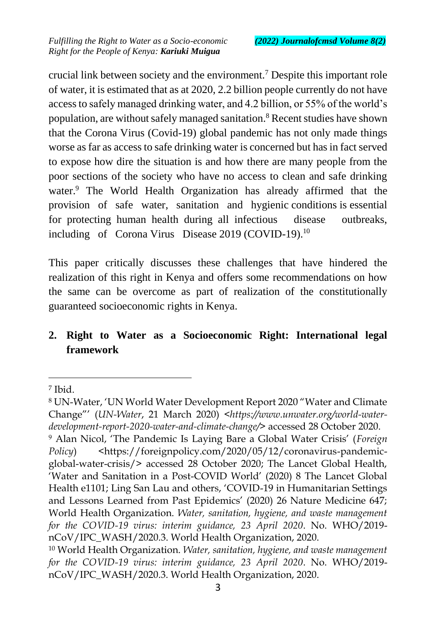crucial link between society and the environment.<sup>7</sup> Despite this important role of water, it is estimated that as at 2020, 2.2 billion people currently do not have access to safely managed drinking water, and 4.2 billion, or 55% of the world's population, are without safely managed sanitation.<sup>8</sup> Recent studies have shown that the Corona Virus (Covid-19) global pandemic has not only made things worse as far as access to safe drinking water is concerned but has in fact served to expose how dire the situation is and how there are many people from the poor sections of the society who have no access to clean and safe drinking water.<sup>9</sup> The World Health Organization has already affirmed that the provision of safe water, sanitation and hygienic conditions is essential for protecting human health during all infectious disease outbreaks, including of Corona Virus Disease 2019 (COVID-19).<sup>10</sup>

This paper critically discusses these challenges that have hindered the realization of this right in Kenya and offers some recommendations on how the same can be overcome as part of realization of the constitutionally guaranteed socioeconomic rights in Kenya.

# **2. Right to Water as a Socioeconomic Right: International legal framework**

<sup>7</sup> Ibid.

<sup>8</sup> UN-Water, 'UN World Water Development Report 2020 "Water and Climate Change"' (*UN-Water*, 21 March 2020) *<https://www.unwater.org/world-waterdevelopment-report-2020-water-and-climate-change/>* accessed 28 October 2020.

<sup>9</sup> Alan Nicol, 'The Pandemic Is Laying Bare a Global Water Crisis' (*Foreign Policy*) <https://foreignpolicy.com/2020/05/12/coronavirus-pandemicglobal-water-crisis/> accessed 28 October 2020; The Lancet Global Health, 'Water and Sanitation in a Post-COVID World' (2020) 8 The Lancet Global Health e1101; Ling San Lau and others, 'COVID-19 in Humanitarian Settings and Lessons Learned from Past Epidemics' (2020) 26 Nature Medicine 647; World Health Organization. *Water, sanitation, hygiene, and waste management for the COVID-19 virus: interim guidance, 23 April 2020*. No. WHO/2019 nCoV/IPC\_WASH/2020.3. World Health Organization, 2020.

<sup>10</sup> World Health Organization. *Water, sanitation, hygiene, and waste management for the COVID-19 virus: interim guidance, 23 April 2020*. No. WHO/2019 nCoV/IPC\_WASH/2020.3. World Health Organization, 2020.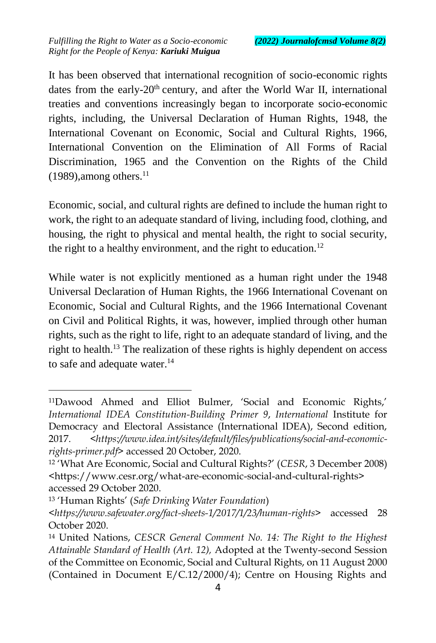It has been observed that international recognition of socio-economic rights dates from the early-20<sup>th</sup> century, and after the World War II, international treaties and conventions increasingly began to incorporate socio-economic rights, including, the Universal Declaration of Human Rights, 1948, the International Covenant on Economic, Social and Cultural Rights, 1966, International Convention on the Elimination of All Forms of Racial Discrimination, 1965 and the Convention on the Rights of the Child  $(1989)$ , among others.<sup>11</sup>

Economic, social, and cultural rights are defined to include the human right to work, the right to an adequate standard of living, including food, clothing, and housing, the right to physical and mental health, the right to social security, the right to a healthy environment, and the right to education.<sup>12</sup>

While water is not explicitly mentioned as a human right under the 1948 Universal Declaration of Human Rights, the 1966 International Covenant on Economic, Social and Cultural Rights, and the 1966 International Covenant on Civil and Political Rights, it was, however, implied through other human rights, such as the right to life, right to an adequate standard of living, and the right to health.<sup>13</sup> The realization of these rights is highly dependent on access to safe and adequate water.<sup>14</sup>

<sup>11</sup>Dawood Ahmed and Elliot Bulmer, 'Social and Economic Rights,' *International IDEA Constitution-Building Primer 9*, *International* Institute for Democracy and Electoral Assistance (International IDEA), Second edition, 2017. *<https://www.idea.int/sites/default/files/publications/social-and-economicrights-primer.pdf>* accessed 20 October, 2020.

<sup>12</sup> 'What Are Economic, Social and Cultural Rights?' (*CESR*, 3 December 2008) <https://www.cesr.org/what-are-economic-social-and-cultural-rights> accessed 29 October 2020.

<sup>13</sup> 'Human Rights' (*Safe Drinking Water Foundation*)

*<sup>&</sup>lt;https://www.safewater.org/fact-sheets-1/2017/1/23/human-rights>* accessed 28 October 2020.

<sup>14</sup> United Nations, *CESCR General Comment No. 14: The Right to the Highest Attainable Standard of Health (Art. 12),* Adopted at the Twenty-second Session of the Committee on Economic, Social and Cultural Rights, on 11 August 2000 (Contained in Document E/C.12/2000/4); Centre on Housing Rights and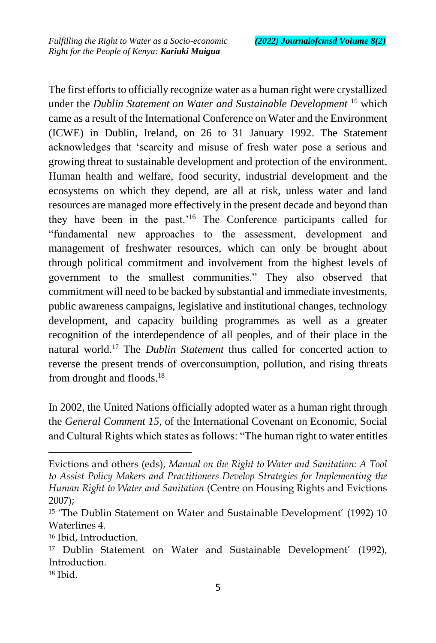The first efforts to officially recognize water as a human right were crystallized under the *Dublin Statement on Water and Sustainable Development* <sup>15</sup> which came as a result of the International Conference on Water and the Environment (ICWE) in Dublin, Ireland, on 26 to 31 January 1992. The Statement acknowledges that 'scarcity and misuse of fresh water pose a serious and growing threat to sustainable development and protection of the environment. Human health and welfare, food security, industrial development and the ecosystems on which they depend, are all at risk, unless water and land resources are managed more effectively in the present decade and beyond than they have been in the past.'<sup>16</sup> The Conference participants called for "fundamental new approaches to the assessment, development and management of freshwater resources, which can only be brought about through political commitment and involvement from the highest levels of government to the smallest communities." They also observed that commitment will need to be backed by substantial and immediate investments, public awareness campaigns, legislative and institutional changes, technology development, and capacity building programmes as well as a greater recognition of the interdependence of all peoples, and of their place in the natural world.<sup>17</sup> The *Dublin Statement* thus called for concerted action to reverse the present trends of overconsumption, pollution, and rising threats from drought and floods.<sup>18</sup>

In 2002, the United Nations officially adopted water as a human right through the *General Comment 15*, of the International Covenant on Economic, Social and Cultural Rights which states as follows: "The human right to water entitles

Evictions and others (eds), *Manual on the Right to Water and Sanitation: A Tool to Assist Policy Makers and Practitioners Develop Strategies for Implementing the Human Right to Water and Sanitation* (Centre on Housing Rights and Evictions 2007);

<sup>15</sup> 'The Dublin Statement on Water and Sustainable Development' (1992) 10 Waterlines 4.

<sup>16</sup> Ibid, Introduction.

<sup>17</sup> Dublin Statement on Water and Sustainable Development' (1992), Introduction.

<sup>18</sup> Ibid.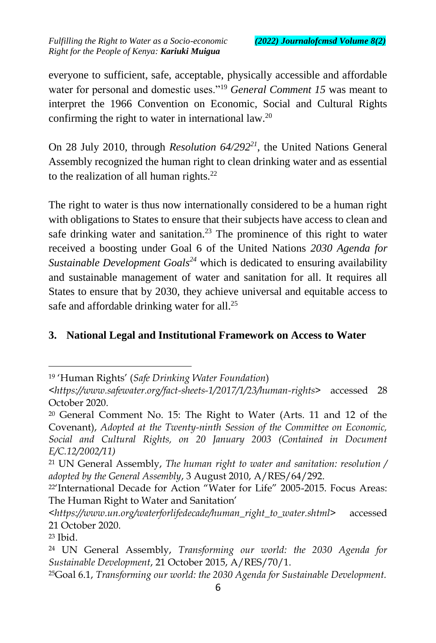everyone to sufficient, safe, acceptable, physically accessible and affordable water for personal and domestic uses."<sup>19</sup> *General Comment 15* was meant to interpret the 1966 Convention on Economic, Social and Cultural Rights confirming the right to water in international law.<sup>20</sup>

On 28 July 2010, through *Resolution 64/292<sup>21</sup>*, the United Nations General Assembly recognized the human right to clean drinking water and as essential to the realization of all human rights. $^{22}$ 

The right to water is thus now internationally considered to be a human right with obligations to States to ensure that their subjects have access to clean and safe drinking water and sanitation.<sup>23</sup> The prominence of this right to water received a boosting under Goal 6 of the United Nations *2030 Agenda for Sustainable Development Goals<sup>24</sup>* which is dedicated to ensuring availability and sustainable management of water and sanitation for all. It requires all States to ensure that by 2030, they achieve universal and equitable access to safe and affordable drinking water for all.<sup>25</sup>

### **3. National Legal and Institutional Framework on Access to Water**

 $\overline{a}$ 

<sup>25</sup>Goal 6.1, *Transforming our world: the 2030 Agenda for Sustainable Development.*

<sup>19</sup> 'Human Rights' (*Safe Drinking Water Foundation*)

*<sup>&</sup>lt;https://www.safewater.org/fact-sheets-1/2017/1/23/human-rights>* accessed 28 October 2020.

<sup>20</sup> General Comment No. 15: The Right to Water (Arts. 11 and 12 of the Covenant), *Adopted at the Twenty-ninth Session of the Committee on Economic, Social and Cultural Rights, on 20 January 2003 (Contained in Document E/C.12/2002/11)*

<sup>21</sup> UN General Assembly, *The human right to water and sanitation: resolution / adopted by the General Assembly*, 3 August 2010, A/RES/64/292.

<sup>22</sup>'International Decade for Action "Water for Life" 2005-2015. Focus Areas: The Human Right to Water and Sanitation'

*<sup>&</sup>lt;https://www.un.org/waterforlifedecade/human\_right\_to\_water.shtml>* accessed 21 October 2020.

<sup>23</sup> Ibid.

<sup>24</sup> UN General Assembly, *Transforming our world: the 2030 Agenda for Sustainable Development*, 21 October 2015, A/RES/70/1.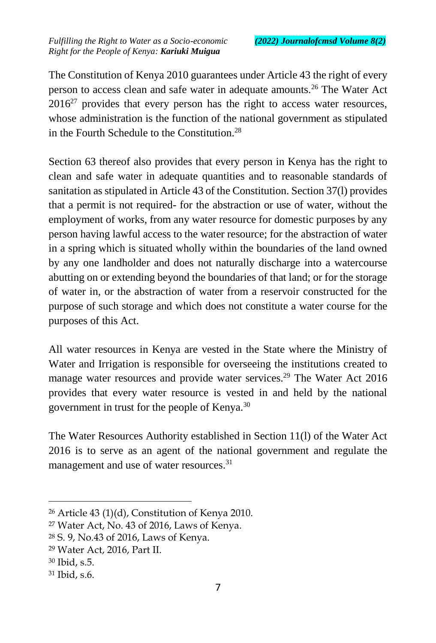The Constitution of Kenya 2010 guarantees under Article 43 the right of every person to access clean and safe water in adequate amounts.<sup>26</sup> The Water Act  $2016^{27}$  provides that every person has the right to access water resources, whose administration is the function of the national government as stipulated in the Fourth Schedule to the Constitution<sup>28</sup>

Section 63 thereof also provides that every person in Kenya has the right to clean and safe water in adequate quantities and to reasonable standards of sanitation as stipulated in Article 43 of the Constitution. Section 37(l) provides that a permit is not required- for the abstraction or use of water, without the employment of works, from any water resource for domestic purposes by any person having lawful access to the water resource; for the abstraction of water in a spring which is situated wholly within the boundaries of the land owned by any one landholder and does not naturally discharge into a watercourse abutting on or extending beyond the boundaries of that land; or for the storage of water in, or the abstraction of water from a reservoir constructed for the purpose of such storage and which does not constitute a water course for the purposes of this Act.

All water resources in Kenya are vested in the State where the Ministry of Water and Irrigation is responsible for overseeing the institutions created to manage water resources and provide water services.<sup>29</sup> The Water Act 2016 provides that every water resource is vested in and held by the national government in trust for the people of Kenya.<sup>30</sup>

The Water Resources Authority established in Section 11(l) of the Water Act 2016 is to serve as an agent of the national government and regulate the management and use of water resources.<sup>31</sup>

 $26$  Article 43 (1)(d), Constitution of Kenya 2010.

<sup>27</sup> Water Act, No. 43 of 2016, Laws of Kenya.

<sup>28</sup> S. 9, No.43 of 2016, Laws of Kenya.

<sup>29</sup> Water Act, 2016, Part II.

<sup>30</sup> Ibid, s.5.

<sup>31</sup> Ibid, s.6.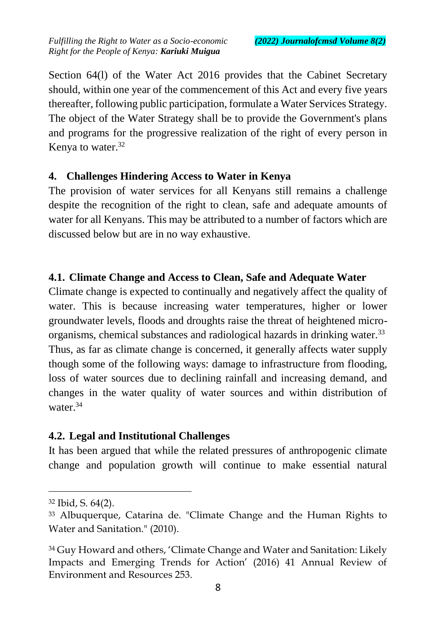Section 64(l) of the Water Act 2016 provides that the Cabinet Secretary should, within one year of the commencement of this Act and every five years thereafter, following public participation, formulate a Water Services Strategy. The object of the Water Strategy shall be to provide the Government's plans and programs for the progressive realization of the right of every person in Kenya to water.<sup>32</sup>

#### **4. Challenges Hindering Access to Water in Kenya**

The provision of water services for all Kenyans still remains a challenge despite the recognition of the right to clean, safe and adequate amounts of water for all Kenyans. This may be attributed to a number of factors which are discussed below but are in no way exhaustive.

### **4.1. Climate Change and Access to Clean, Safe and Adequate Water**

Climate change is expected to continually and negatively affect the quality of water. This is because increasing water temperatures, higher or lower groundwater levels, floods and droughts raise the threat of heightened microorganisms, chemical substances and radiological hazards in drinking water.<sup>33</sup> Thus, as far as climate change is concerned, it generally affects water supply though some of the following ways: damage to infrastructure from flooding, loss of water sources due to declining rainfall and increasing demand, and changes in the water quality of water sources and within distribution of water.<sup>34</sup>

### **4.2. Legal and Institutional Challenges**

It has been argued that while the related pressures of anthropogenic climate change and population growth will continue to make essential natural

<sup>32</sup> Ibid, S. 64(2).

<sup>33</sup> Albuquerque, Catarina de. "Climate Change and the Human Rights to Water and Sanitation." (2010).

<sup>&</sup>lt;sup>34</sup> Guy Howard and others, 'Climate Change and Water and Sanitation: Likely Impacts and Emerging Trends for Action' (2016) 41 Annual Review of Environment and Resources 253.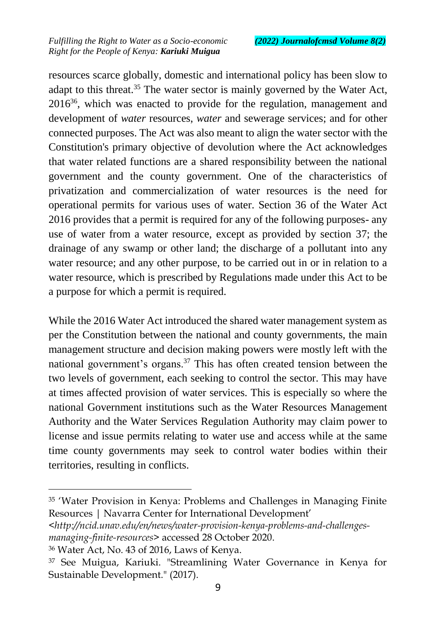resources scarce globally, domestic and international policy has been slow to adapt to this threat.<sup>35</sup> The water sector is mainly governed by the Water Act,  $2016<sup>36</sup>$ , which was enacted to provide for the regulation, management and development of *water* resources, *water* and sewerage services; and for other connected purposes. The Act was also meant to align the water sector with the Constitution's primary objective of devolution where the Act acknowledges that water related functions are a shared responsibility between the national government and the county government. One of the characteristics of privatization and commercialization of water resources is the need for operational permits for various uses of water. Section 36 of the Water Act 2016 provides that a permit is required for any of the following purposes- any use of water from a water resource, except as provided by section 37; the drainage of any swamp or other land; the discharge of a pollutant into any water resource; and any other purpose, to be carried out in or in relation to a water resource, which is prescribed by Regulations made under this Act to be a purpose for which a permit is required.

While the 2016 Water Act introduced the shared water management system as per the Constitution between the national and county governments, the main management structure and decision making powers were mostly left with the national government's organs.<sup>37</sup> This has often created tension between the two levels of government, each seeking to control the sector. This may have at times affected provision of water services. This is especially so where the national Government institutions such as the Water Resources Management Authority and the Water Services Regulation Authority may claim power to license and issue permits relating to water use and access while at the same time county governments may seek to control water bodies within their territories, resulting in conflicts.

<sup>35</sup> 'Water Provision in Kenya: Problems and Challenges in Managing Finite Resources | Navarra Center for International Development'

*<sup>&</sup>lt;http://ncid.unav.edu/en/news/water-provision-kenya-problems-and-challengesmanaging-finite-resources>* accessed 28 October 2020.

<sup>36</sup> Water Act, No. 43 of 2016, Laws of Kenya.

<sup>37</sup> See Muigua, Kariuki. "Streamlining Water Governance in Kenya for Sustainable Development." (2017).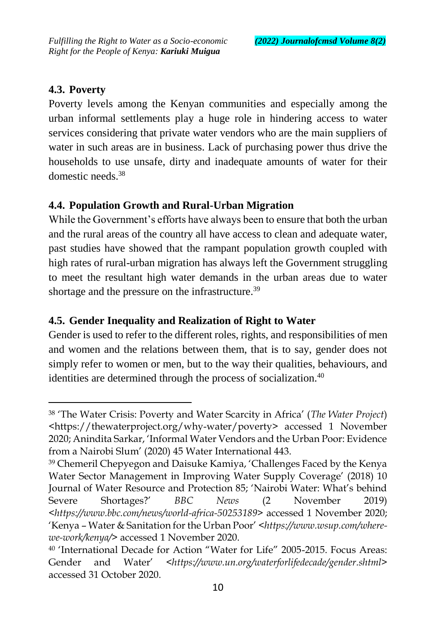### **4.3. Poverty**

 $\overline{a}$ 

Poverty levels among the Kenyan communities and especially among the urban informal settlements play a huge role in hindering access to water services considering that private water vendors who are the main suppliers of water in such areas are in business. Lack of purchasing power thus drive the households to use unsafe, dirty and inadequate amounts of water for their domestic needs<sup>38</sup>

## **4.4. Population Growth and Rural-Urban Migration**

While the Government's efforts have always been to ensure that both the urban and the rural areas of the country all have access to clean and adequate water, past studies have showed that the rampant population growth coupled with high rates of rural-urban migration has always left the Government struggling to meet the resultant high water demands in the urban areas due to water shortage and the pressure on the infrastructure.<sup>39</sup>

### **4.5. Gender Inequality and Realization of Right to Water**

Gender is used to refer to the different roles, rights, and responsibilities of men and women and the relations between them, that is to say, gender does not simply refer to women or men, but to the way their qualities, behaviours, and identities are determined through the process of socialization.<sup>40</sup>

<sup>38</sup> 'The Water Crisis: Poverty and Water Scarcity in Africa' (*The Water Project*) <https://thewaterproject.org/why-water/poverty> accessed 1 November 2020; Anindita Sarkar, 'Informal Water Vendors and the Urban Poor: Evidence from a Nairobi Slum' (2020) 45 Water International 443.

<sup>39</sup> Chemeril Chepyegon and Daisuke Kamiya, 'Challenges Faced by the Kenya Water Sector Management in Improving Water Supply Coverage' (2018) 10 Journal of Water Resource and Protection 85; 'Nairobi Water: What's behind Severe Shortages?' *BBC News* (2 November 2019) *<https://www.bbc.com/news/world-africa-50253189>* accessed 1 November 2020; 'Kenya – Water & Sanitation for the Urban Poor' *<https://www.wsup.com/wherewe-work/kenya/>* accessed 1 November 2020.

<sup>40</sup> 'International Decade for Action "Water for Life" 2005-2015. Focus Areas: Gender and Water' *<https://www.un.org/waterforlifedecade/gender.shtml>* accessed 31 October 2020.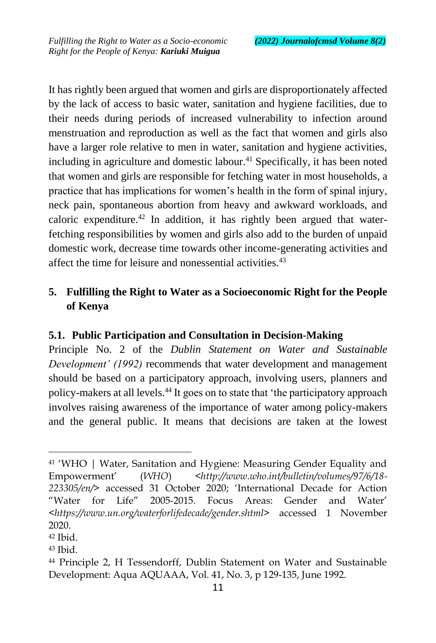It has rightly been argued that women and girls are disproportionately affected by the lack of access to basic water, sanitation and hygiene facilities, due to their needs during periods of increased vulnerability to infection around menstruation and reproduction as well as the fact that women and girls also have a larger role relative to men in water, sanitation and hygiene activities, including in agriculture and domestic labour. $41$  Specifically, it has been noted that women and girls are responsible for fetching water in most households, a practice that has implications for women's health in the form of spinal injury, neck pain, spontaneous abortion from heavy and awkward workloads, and caloric expenditure.<sup>42</sup> In addition, it has rightly been argued that waterfetching responsibilities by women and girls also add to the burden of unpaid domestic work, decrease time towards other income-generating activities and affect the time for leisure and nonessential activities.<sup>43</sup>

### **5. Fulfilling the Right to Water as a Socioeconomic Right for the People of Kenya**

### **5.1. Public Participation and Consultation in Decision-Making**

Principle No. 2 of the *Dublin Statement on Water and Sustainable Development' (1992)* recommends that water development and management should be based on a participatory approach, involving users, planners and policy-makers at all levels.<sup>44</sup> It goes on to state that 'the participatory approach involves raising awareness of the importance of water among policy-makers and the general public. It means that decisions are taken at the lowest

<sup>41</sup> 'WHO | Water, Sanitation and Hygiene: Measuring Gender Equality and Empowerment' (*WHO*) *<http://www.who.int/bulletin/volumes/97/6/18- 223305/en/>* accessed 31 October 2020; 'International Decade for Action "Water for Life" 2005-2015. Focus Areas: Gender and Water' <*https://www.un.org/waterforlifedecade/gender.shtml>* accessed 1 November 2020.

<sup>42</sup> Ibid.

<sup>43</sup> Ibid.

<sup>44</sup> Principle 2, H Tessendorff, Dublin Statement on Water and Sustainable Development: Aqua AQUAAA, Vol. 41, No. 3, p 129-135, June 1992.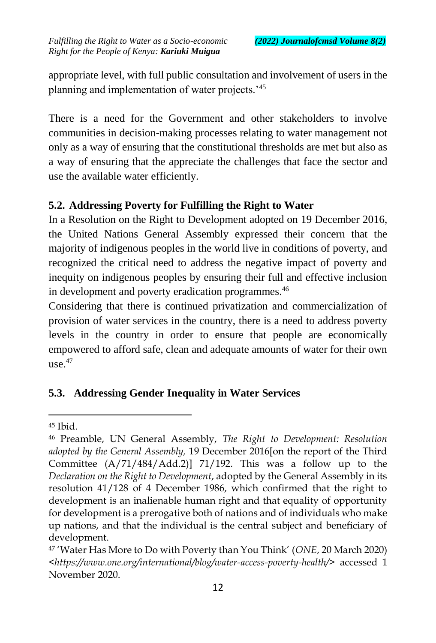appropriate level, with full public consultation and involvement of users in the planning and implementation of water projects.'<sup>45</sup>

There is a need for the Government and other stakeholders to involve communities in decision-making processes relating to water management not only as a way of ensuring that the constitutional thresholds are met but also as a way of ensuring that the appreciate the challenges that face the sector and use the available water efficiently.

## **5.2. Addressing Poverty for Fulfilling the Right to Water**

In a Resolution on the Right to Development adopted on 19 December 2016, the United Nations General Assembly expressed their concern that the majority of indigenous peoples in the world live in conditions of poverty, and recognized the critical need to address the negative impact of poverty and inequity on indigenous peoples by ensuring their full and effective inclusion in development and poverty eradication programmes.<sup>46</sup>

Considering that there is continued privatization and commercialization of provision of water services in the country, there is a need to address poverty levels in the country in order to ensure that people are economically empowered to afford safe, clean and adequate amounts of water for their own use. $47$ 

# **5.3. Addressing Gender Inequality in Water Services**

 $45$  Ibid.

<sup>46</sup> Preamble, UN General Assembly, *The Right to Development: Resolution adopted by the General Assembly,* 19 December 2016[on the report of the Third Committee (A/71/484/Add.2)] 71/192*.* This was a follow up to the *Declaration on the Right to Development*, adopted by the General Assembly in its resolution 41/128 of 4 December 1986, which confirmed that the right to development is an inalienable human right and that equality of opportunity for development is a prerogative both of nations and of individuals who make up nations, and that the individual is the central subject and beneficiary of development.

<sup>47</sup> 'Water Has More to Do with Poverty than You Think' (*ONE*, 20 March 2020) *<https://www.one.org/international/blog/water-access-poverty-health/>* accessed 1 November 2020.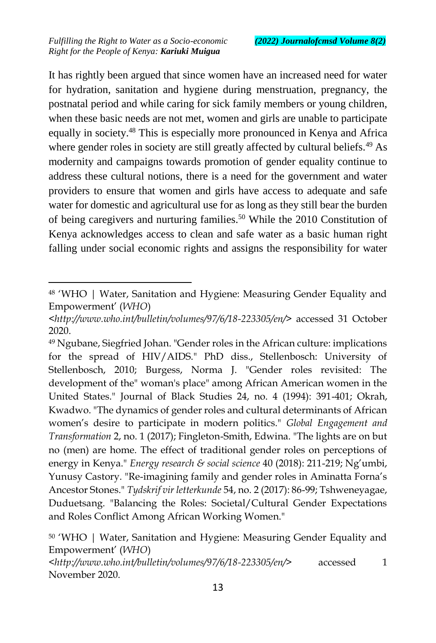$\overline{a}$ 

It has rightly been argued that since women have an increased need for water for hydration, sanitation and hygiene during menstruation, pregnancy, the postnatal period and while caring for sick family members or young children, when these basic needs are not met, women and girls are unable to participate equally in society.<sup>48</sup> This is especially more pronounced in Kenya and Africa where gender roles in society are still greatly affected by cultural beliefs.<sup>49</sup> As modernity and campaigns towards promotion of gender equality continue to address these cultural notions, there is a need for the government and water providers to ensure that women and girls have access to adequate and safe water for domestic and agricultural use for as long as they still bear the burden of being caregivers and nurturing families.<sup>50</sup> While the 2010 Constitution of Kenya acknowledges access to clean and safe water as a basic human right falling under social economic rights and assigns the responsibility for water

<sup>48</sup> 'WHO | Water, Sanitation and Hygiene: Measuring Gender Equality and Empowerment' (*WHO*)

*<sup>&</sup>lt;http://www.who.int/bulletin/volumes/97/6/18-223305/en/>* accessed 31 October 2020.

<sup>49</sup> Ngubane, Siegfried Johan. "Gender roles in the African culture: implications for the spread of HIV/AIDS." PhD diss., Stellenbosch: University of Stellenbosch, 2010; Burgess, Norma J. "Gender roles revisited: The development of the" woman's place" among African American women in the United States." Journal of Black Studies 24, no. 4 (1994): 391-401; Okrah, Kwadwo. "The dynamics of gender roles and cultural determinants of African women's desire to participate in modern politics." *Global Engagement and Transformation* 2, no. 1 (2017); Fingleton-Smith, Edwina. "The lights are on but no (men) are home. The effect of traditional gender roles on perceptions of energy in Kenya." *Energy research & social science* 40 (2018): 211-219; Ng'umbi, Yunusy Castory. "Re-imagining family and gender roles in Aminatta Forna's Ancestor Stones." *Tydskrif vir letterkunde* 54, no. 2 (2017): 86-99; Tshweneyagae, Duduetsang. "Balancing the Roles: Societal/Cultural Gender Expectations and Roles Conflict Among African Working Women."

<sup>50</sup> 'WHO | Water, Sanitation and Hygiene: Measuring Gender Equality and Empowerment' (*WHO*)

*<sup>&</sup>lt;http://www.who.int/bulletin/volumes/97/6/18-223305/en/>* accessed 1 November 2020.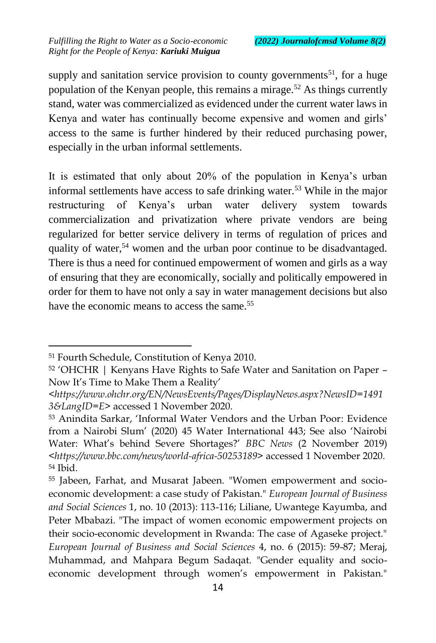supply and sanitation service provision to county governments<sup>51</sup>, for a huge population of the Kenyan people, this remains a mirage.<sup>52</sup> As things currently stand, water was commercialized as evidenced under the current water laws in Kenya and water has continually become expensive and women and girls' access to the same is further hindered by their reduced purchasing power, especially in the urban informal settlements.

It is estimated that only about 20% of the population in Kenya's urban informal settlements have access to safe drinking water.<sup>53</sup> While in the major restructuring of Kenya's urban water delivery system towards commercialization and privatization where private vendors are being regularized for better service delivery in terms of regulation of prices and quality of water,<sup>54</sup> women and the urban poor continue to be disadvantaged. There is thus a need for continued empowerment of women and girls as a way of ensuring that they are economically, socially and politically empowered in order for them to have not only a say in water management decisions but also have the economic means to access the same.<sup>55</sup>

<sup>51</sup> Fourth Schedule, Constitution of Kenya 2010.

<sup>52</sup> 'OHCHR | Kenyans Have Rights to Safe Water and Sanitation on Paper – Now It's Time to Make Them a Reality'

*<sup>&</sup>lt;https://www.ohchr.org/EN/NewsEvents/Pages/DisplayNews.aspx?NewsID=1491 3&LangID=E>* accessed 1 November 2020.

<sup>53</sup> Anindita Sarkar, 'Informal Water Vendors and the Urban Poor: Evidence from a Nairobi Slum' (2020) 45 Water International 443; See also 'Nairobi Water: What's behind Severe Shortages?' *BBC News* (2 November 2019) *<https://www.bbc.com/news/world-africa-50253189>* accessed 1 November 2020. <sup>54</sup> Ibid.

<sup>55</sup> Jabeen, Farhat, and Musarat Jabeen. "Women empowerment and socioeconomic development: a case study of Pakistan." *European Journal of Business and Social Sciences* 1, no. 10 (2013): 113-116; Liliane, Uwantege Kayumba, and Peter Mbabazi. "The impact of women economic empowerment projects on their socio-economic development in Rwanda: The case of Agaseke project." *European Journal of Business and Social Sciences* 4, no. 6 (2015): 59-87; Meraj, Muhammad, and Mahpara Begum Sadaqat. "Gender equality and socioeconomic development through women's empowerment in Pakistan."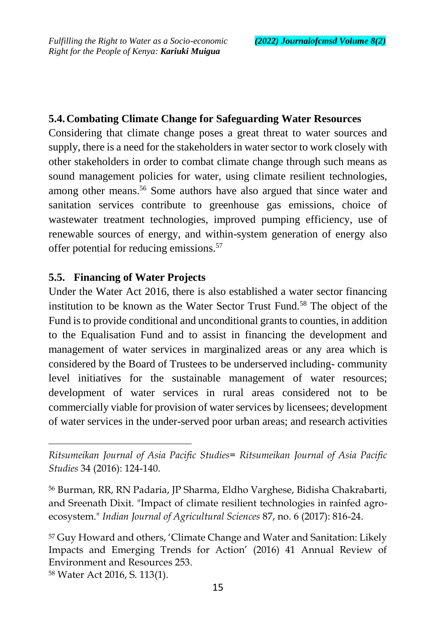#### **5.4.Combating Climate Change for Safeguarding Water Resources**

Considering that climate change poses a great threat to water sources and supply, there is a need for the stakeholders in water sector to work closely with other stakeholders in order to combat climate change through such means as sound management policies for water, using climate resilient technologies, among other means.<sup>56</sup> Some authors have also argued that since water and sanitation services contribute to greenhouse gas emissions, choice of wastewater treatment technologies, improved pumping efficiency, use of renewable sources of energy, and within-system generation of energy also offer potential for reducing emissions.<sup>57</sup>

#### **5.5. Financing of Water Projects**

Under the Water Act 2016, there is also established a water sector financing institution to be known as the Water Sector Trust Fund.<sup>58</sup> The object of the Fund is to provide conditional and unconditional grants to counties, in addition to the Equalisation Fund and to assist in financing the development and management of water services in marginalized areas or any area which is considered by the Board of Trustees to be underserved including- community level initiatives for the sustainable management of water resources; development of water services in rural areas considered not to be commercially viable for provision of water services by licensees; development of water services in the under-served poor urban areas; and research activities

<sup>58</sup> Water Act 2016, S. 113(1).

*Ritsumeikan Journal of Asia Pacific Studies= Ritsumeikan Journal of Asia Pacific Studies* 34 (2016): 124-140.

<sup>56</sup> Burman, RR, RN Padaria, JP Sharma, Eldho Varghese, Bidisha Chakrabarti, and Sreenath Dixit. "Impact of climate resilient technologies in rainfed agroecosystem." *Indian Journal of Agricultural Sciences* 87, no. 6 (2017): 816-24.

<sup>57</sup> Guy Howard and others, 'Climate Change and Water and Sanitation: Likely Impacts and Emerging Trends for Action' (2016) 41 Annual Review of Environment and Resources 253.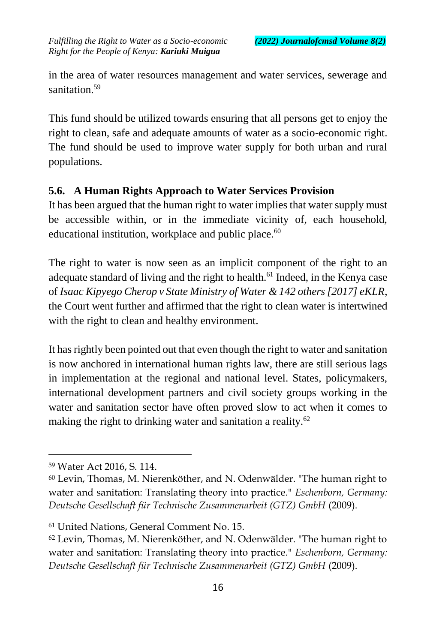in the area of water resources management and water services, sewerage and sanitation.<sup>59</sup>

This fund should be utilized towards ensuring that all persons get to enjoy the right to clean, safe and adequate amounts of water as a socio-economic right. The fund should be used to improve water supply for both urban and rural populations.

### **5.6. A Human Rights Approach to Water Services Provision**

It has been argued that the human right to water implies that water supply must be accessible within, or in the immediate vicinity of, each household, educational institution, workplace and public place.<sup>60</sup>

The right to water is now seen as an implicit component of the right to an adequate standard of living and the right to health.<sup>61</sup> Indeed, in the Kenya case of *Isaac Kipyego Cherop v State Ministry of Water & 142 others [2017] eKLR*, the Court went further and affirmed that the right to clean water is intertwined with the right to clean and healthy environment.

It has rightly been pointed out that even though the right to water and sanitation is now anchored in international human rights law, there are still serious lags in implementation at the regional and national level. States, policymakers, international development partners and civil society groups working in the water and sanitation sector have often proved slow to act when it comes to making the right to drinking water and sanitation a reality.<sup>62</sup>

<sup>59</sup> Water Act 2016, S. 114.

<sup>60</sup> Levin, Thomas, M. Nierenköther, and N. Odenwälder. "The human right to water and sanitation: Translating theory into practice." *Eschenborn, Germany: Deutsche Gesellschaft für Technische Zusammenarbeit (GTZ) GmbH* (2009).

<sup>61</sup> United Nations, General Comment No. 15.

<sup>62</sup> Levin, Thomas, M. Nierenköther, and N. Odenwälder. "The human right to water and sanitation: Translating theory into practice." *Eschenborn, Germany: Deutsche Gesellschaft für Technische Zusammenarbeit (GTZ) GmbH* (2009).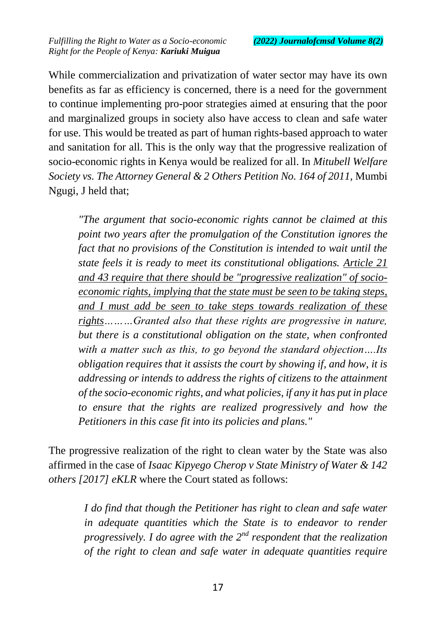While commercialization and privatization of water sector may have its own benefits as far as efficiency is concerned, there is a need for the government to continue implementing pro-poor strategies aimed at ensuring that the poor and marginalized groups in society also have access to clean and safe water for use. This would be treated as part of human rights-based approach to water and sanitation for all. This is the only way that the progressive realization of socio-economic rights in Kenya would be realized for all. In *Mitubell Welfare Society vs. The Attorney General & 2 Others Petition No. 164 of 2011,* Mumbi Ngugi, J held that;

*"The argument that socio-economic rights cannot be claimed at this point two years after the promulgation of the Constitution ignores the fact that no provisions of the Constitution is intended to wait until the state feels it is ready to meet its constitutional obligations. Article 21 and 43 require that there should be "progressive realization" of socioeconomic rights, implying that the state must be seen to be taking steps, and I must add be seen to take steps towards realization of these rights………Granted also that these rights are progressive in nature, but there is a constitutional obligation on the state, when confronted with a matter such as this, to go beyond the standard objection….Its obligation requires that it assists the court by showing if, and how, it is addressing or intends to address the rights of citizens to the attainment of the socio-economic rights, and what policies, if any it has put in place to ensure that the rights are realized progressively and how the Petitioners in this case fit into its policies and plans."*

The progressive realization of the right to clean water by the State was also affirmed in the case of *Isaac Kipyego Cherop v State Ministry of Water & 142 others [2017] eKLR* where the Court stated as follows:

> *I do find that though the Petitioner has right to clean and safe water in adequate quantities which the State is to endeavor to render progressively. I do agree with the 2nd respondent that the realization of the right to clean and safe water in adequate quantities require*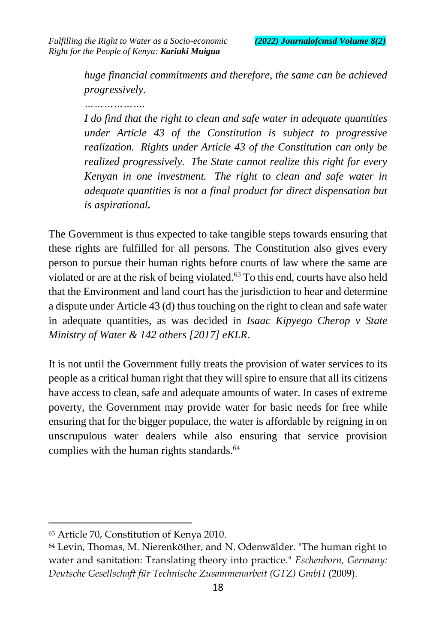*huge financial commitments and therefore, the same can be achieved progressively.*

*I do find that the right to clean and safe water in adequate quantities under Article 43 of the Constitution is subject to progressive realization. Rights under Article 43 of the Constitution can only be realized progressively. The State cannot realize this right for every Kenyan in one investment. The right to clean and safe water in adequate quantities is not a final product for direct dispensation but is aspirational.*

The Government is thus expected to take tangible steps towards ensuring that these rights are fulfilled for all persons. The Constitution also gives every person to pursue their human rights before courts of law where the same are violated or are at the risk of being violated.<sup>63</sup> To this end, courts have also held that the Environment and land court has the jurisdiction to hear and determine a dispute under Article 43 (d) thus touching on the right to clean and safe water in adequate quantities, as was decided in *Isaac Kipyego Cherop v State Ministry of Water & 142 others [2017] eKLR*.

It is not until the Government fully treats the provision of water services to its people as a critical human right that they will spire to ensure that all its citizens have access to clean, safe and adequate amounts of water. In cases of extreme poverty, the Government may provide water for basic needs for free while ensuring that for the bigger populace, the water is affordable by reigning in on unscrupulous water dealers while also ensuring that service provision complies with the human rights standards.<sup>64</sup>

<sup>63</sup> Article 70, Constitution of Kenya 2010.

<sup>64</sup> Levin, Thomas, M. Nierenköther, and N. Odenwälder. "The human right to water and sanitation: Translating theory into practice." *Eschenborn, Germany: Deutsche Gesellschaft für Technische Zusammenarbeit (GTZ) GmbH* (2009).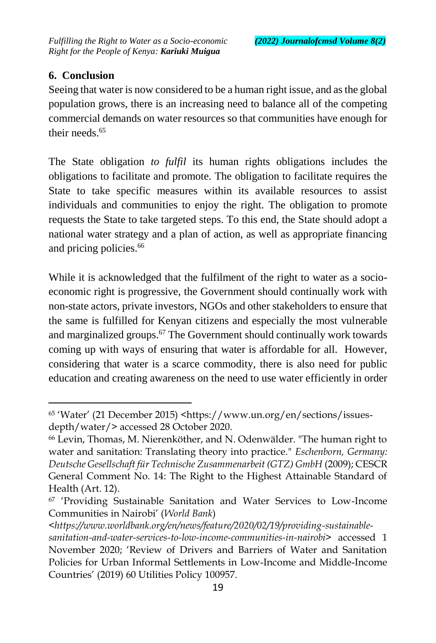### **6. Conclusion**

 $\overline{a}$ 

Seeing that water is now considered to be a human right issue, and as the global population grows, there is an increasing need to balance all of the competing commercial demands on water resources so that communities have enough for their needs $65$ 

The State obligation *to fulfil* its human rights obligations includes the obligations to facilitate and promote. The obligation to facilitate requires the State to take specific measures within its available resources to assist individuals and communities to enjoy the right. The obligation to promote requests the State to take targeted steps. To this end, the State should adopt a national water strategy and a plan of action, as well as appropriate financing and pricing policies.<sup>66</sup>

While it is acknowledged that the fulfilment of the right to water as a socioeconomic right is progressive, the Government should continually work with non-state actors, private investors, NGOs and other stakeholders to ensure that the same is fulfilled for Kenyan citizens and especially the most vulnerable and marginalized groups.<sup>67</sup> The Government should continually work towards coming up with ways of ensuring that water is affordable for all. However, considering that water is a scarce commodity, there is also need for public education and creating awareness on the need to use water efficiently in order

<sup>65</sup> 'Water' (21 December 2015) <https://www.un.org/en/sections/issuesdepth/water/> accessed 28 October 2020.

<sup>66</sup> Levin, Thomas, M. Nierenköther, and N. Odenwälder. "The human right to water and sanitation: Translating theory into practice." *Eschenborn, Germany: Deutsche Gesellschaft für Technische Zusammenarbeit (GTZ) GmbH* (2009); CESCR General Comment No. 14: The Right to the Highest Attainable Standard of Health (Art. 12).

<sup>67</sup> 'Providing Sustainable Sanitation and Water Services to Low-Income Communities in Nairobi' (*World Bank*)

*<sup>&</sup>lt;https://www.worldbank.org/en/news/feature/2020/02/19/providing-sustainablesanitation-and-water-services-to-low-income-communities-in-nairobi>* accessed 1 November 2020; 'Review of Drivers and Barriers of Water and Sanitation Policies for Urban Informal Settlements in Low-Income and Middle-Income Countries' (2019) 60 Utilities Policy 100957.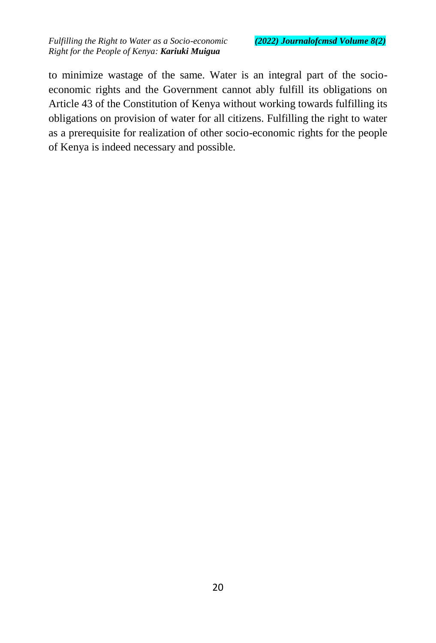to minimize wastage of the same. Water is an integral part of the socioeconomic rights and the Government cannot ably fulfill its obligations on Article 43 of the Constitution of Kenya without working towards fulfilling its obligations on provision of water for all citizens. Fulfilling the right to water as a prerequisite for realization of other socio-economic rights for the people of Kenya is indeed necessary and possible.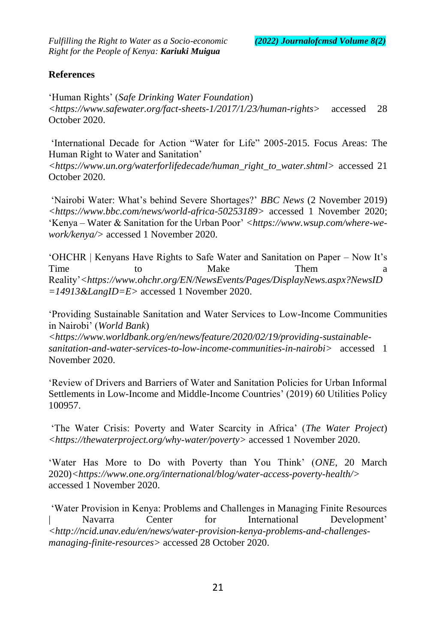#### **References**

'Human Rights' (*Safe Drinking Water Foundation*) *<https://www.safewater.org/fact-sheets-1/2017/1/23/human-rights>* accessed 28 October 2020.

'International Decade for Action "Water for Life" 2005-2015. Focus Areas: The Human Right to Water and Sanitation'

*<https://www.un.org/waterforlifedecade/human\_right\_to\_water.shtml>* accessed 21 October 2020.

'Nairobi Water: What's behind Severe Shortages?' *BBC News* (2 November 2019) *<https://www.bbc.com/news/world-africa-50253189>* accessed 1 November 2020; 'Kenya – Water & Sanitation for the Urban Poor' <https://www.wsup.com/where-we*work/kenya/>* accessed 1 November 2020.

'OHCHR | Kenyans Have Rights to Safe Water and Sanitation on Paper – Now It's Time to Make Them a Reality'*<https://www.ohchr.org/EN/NewsEvents/Pages/DisplayNews.aspx?NewsID =14913&LangID=E>* accessed 1 November 2020.

'Providing Sustainable Sanitation and Water Services to Low-Income Communities in Nairobi' (*World Bank*)

*<https://www.worldbank.org/en/news/feature/2020/02/19/providing-sustainablesanitation-and-water-services-to-low-income-communities-in-nairobi>* accessed 1 November 2020.

'Review of Drivers and Barriers of Water and Sanitation Policies for Urban Informal Settlements in Low-Income and Middle-Income Countries' (2019) 60 Utilities Policy 100957.

'The Water Crisis: Poverty and Water Scarcity in Africa' (*The Water Project*) *<https://thewaterproject.org/why-water/poverty>* accessed 1 November 2020.

'Water Has More to Do with Poverty than You Think' (*ONE*, 20 March 2020)*<https://www.one.org/international/blog/water-access-poverty-health/>* accessed 1 November 2020.

'Water Provision in Kenya: Problems and Challenges in Managing Finite Resources | Navarra Center for International Development' *<http://ncid.unav.edu/en/news/water-provision-kenya-problems-and-challengesmanaging-finite-resources>* accessed 28 October 2020.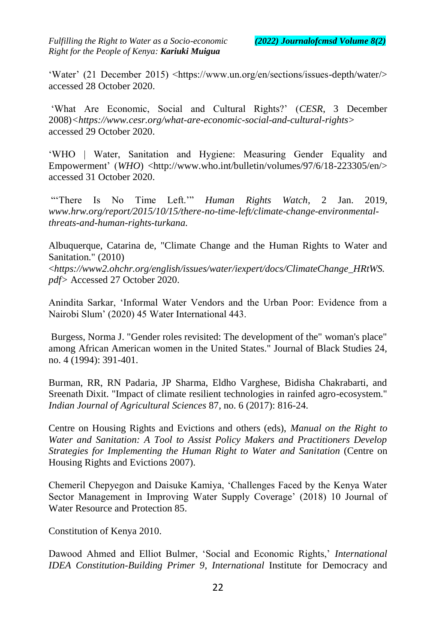'Water' (21 December 2015) <https://www.un.org/en/sections/issues-depth/water/> accessed 28 October 2020.

'What Are Economic, Social and Cultural Rights?' (*CESR*, 3 December 2008)*<https://www.cesr.org/what-are-economic-social-and-cultural-rights>*  accessed 29 October 2020.

'WHO | Water, Sanitation and Hygiene: Measuring Gender Equality and Empowerment' (*WHO*) <http://www.who.int/bulletin/volumes/97/6/18-223305/en/> accessed 31 October 2020.

"'There Is No Time Left.'" *Human Rights Watch*, 2 Jan. 2019, *www.hrw.org/report/2015/10/15/there-no-time-left/climate-change-environmentalthreats-and-human-rights-turkana.*

Albuquerque, Catarina de, "Climate Change and the Human Rights to Water and Sanitation." (2010)

<*https://www2.ohchr.org/english/issues/water/iexpert/docs/ClimateChange\_HRtWS. pdf>* Accessed 27 October 2020.

Anindita Sarkar, 'Informal Water Vendors and the Urban Poor: Evidence from a Nairobi Slum' (2020) 45 Water International 443.

Burgess, Norma J. "Gender roles revisited: The development of the" woman's place" among African American women in the United States." Journal of Black Studies 24, no. 4 (1994): 391-401.

Burman, RR, RN Padaria, JP Sharma, Eldho Varghese, Bidisha Chakrabarti, and Sreenath Dixit. "Impact of climate resilient technologies in rainfed agro-ecosystem." *Indian Journal of Agricultural Sciences* 87, no. 6 (2017): 816-24.

Centre on Housing Rights and Evictions and others (eds), *Manual on the Right to Water and Sanitation: A Tool to Assist Policy Makers and Practitioners Develop Strategies for Implementing the Human Right to Water and Sanitation* (Centre on Housing Rights and Evictions 2007).

Chemeril Chepyegon and Daisuke Kamiya, 'Challenges Faced by the Kenya Water Sector Management in Improving Water Supply Coverage' (2018) 10 Journal of Water Resource and Protection 85.

Constitution of Kenya 2010.

Dawood Ahmed and Elliot Bulmer, 'Social and Economic Rights,' *International IDEA Constitution-Building Primer 9*, *International* Institute for Democracy and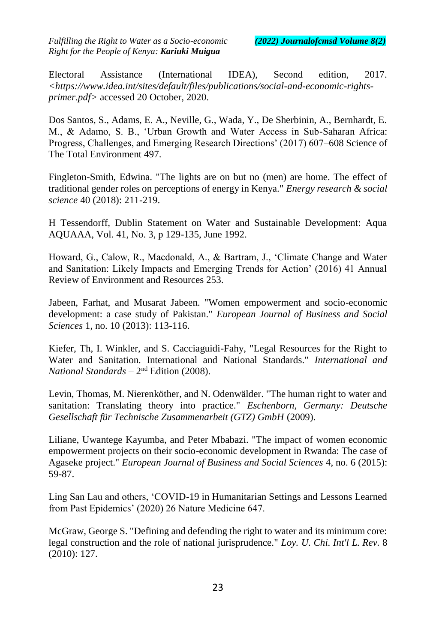Electoral Assistance (International IDEA), Second edition, 2017. *<https://www.idea.int/sites/default/files/publications/social-and-economic-rightsprimer.pdf>* accessed 20 October, 2020.

Dos Santos, S., Adams, E. A., Neville, G., Wada, Y., De Sherbinin, A., Bernhardt, E. M., & Adamo, S. B., 'Urban Growth and Water Access in Sub-Saharan Africa: Progress, Challenges, and Emerging Research Directions' (2017) 607–608 Science of The Total Environment 497.

Fingleton-Smith, Edwina. "The lights are on but no (men) are home. The effect of traditional gender roles on perceptions of energy in Kenya." *Energy research & social science* 40 (2018): 211-219.

H Tessendorff, Dublin Statement on Water and Sustainable Development: Aqua AQUAAA, Vol. 41, No. 3, p 129-135, June 1992.

Howard, G., Calow, R., Macdonald, A., & Bartram, J., 'Climate Change and Water and Sanitation: Likely Impacts and Emerging Trends for Action' (2016) 41 Annual Review of Environment and Resources 253.

Jabeen, Farhat, and Musarat Jabeen. "Women empowerment and socio-economic development: a case study of Pakistan." *European Journal of Business and Social Sciences* 1, no. 10 (2013): 113-116.

Kiefer, Th, I. Winkler, and S. Cacciaguidi-Fahy, "Legal Resources for the Right to Water and Sanitation. International and National Standards." *International and National Standards* – 2 nd Edition (2008).

Levin, Thomas, M. Nierenköther, and N. Odenwälder. "The human right to water and sanitation: Translating theory into practice." *Eschenborn, Germany: Deutsche Gesellschaft für Technische Zusammenarbeit (GTZ) GmbH* (2009).

Liliane, Uwantege Kayumba, and Peter Mbabazi. "The impact of women economic empowerment projects on their socio-economic development in Rwanda: The case of Agaseke project." *European Journal of Business and Social Sciences* 4, no. 6 (2015): 59-87.

Ling San Lau and others, 'COVID-19 in Humanitarian Settings and Lessons Learned from Past Epidemics' (2020) 26 Nature Medicine 647.

McGraw, George S. "Defining and defending the right to water and its minimum core: legal construction and the role of national jurisprudence." *Loy. U. Chi. Int'l L. Rev.* 8 (2010): 127.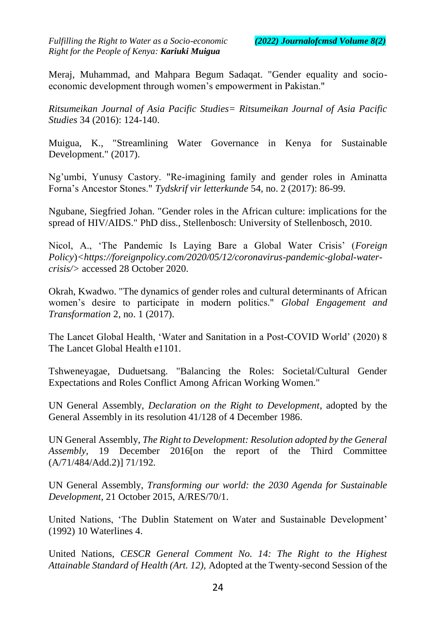Meraj, Muhammad, and Mahpara Begum Sadaqat. "Gender equality and socioeconomic development through women's empowerment in Pakistan."

*Ritsumeikan Journal of Asia Pacific Studies= Ritsumeikan Journal of Asia Pacific Studies* 34 (2016): 124-140.

Muigua, K., "Streamlining Water Governance in Kenya for Sustainable Development." (2017).

Ng'umbi, Yunusy Castory. "Re-imagining family and gender roles in Aminatta Forna's Ancestor Stones." *Tydskrif vir letterkunde* 54, no. 2 (2017): 86-99.

Ngubane, Siegfried Johan. "Gender roles in the African culture: implications for the spread of HIV/AIDS." PhD diss., Stellenbosch: University of Stellenbosch, 2010.

Nicol, A., 'The Pandemic Is Laying Bare a Global Water Crisis' (*Foreign Policy*)*<https://foreignpolicy.com/2020/05/12/coronavirus-pandemic-global-watercrisis/>* accessed 28 October 2020.

Okrah, Kwadwo. "The dynamics of gender roles and cultural determinants of African women's desire to participate in modern politics." *Global Engagement and Transformation* 2, no. 1 (2017).

The Lancet Global Health, 'Water and Sanitation in a Post-COVID World' (2020) 8 The Lancet Global Health e1101.

Tshweneyagae, Duduetsang. "Balancing the Roles: Societal/Cultural Gender Expectations and Roles Conflict Among African Working Women."

UN General Assembly, *Declaration on the Right to Development*, adopted by the General Assembly in its resolution 41/128 of 4 December 1986.

UN General Assembly, *The Right to Development: Resolution adopted by the General Assembly,* 19 December 2016[on the report of the Third Committee (A/71/484/Add.2)] 71/192*.*

UN General Assembly, *Transforming our world: the 2030 Agenda for Sustainable Development*, 21 October 2015, A/RES/70/1.

United Nations, 'The Dublin Statement on Water and Sustainable Development' (1992) 10 Waterlines 4.

United Nations, *CESCR General Comment No. 14: The Right to the Highest Attainable Standard of Health (Art. 12),* Adopted at the Twenty-second Session of the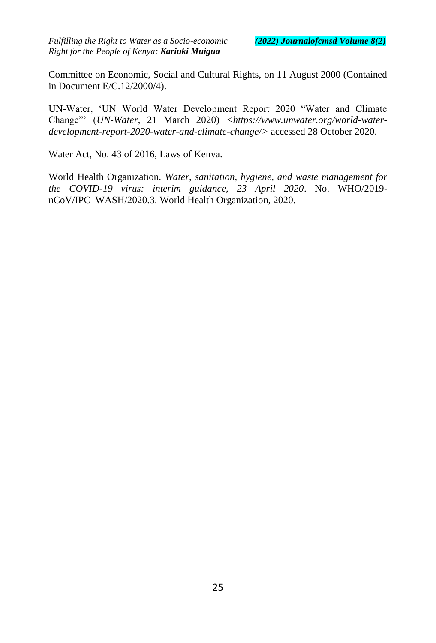Committee on Economic, Social and Cultural Rights, on 11 August 2000 (Contained in Document E/C.12/2000/4).

UN-Water, 'UN World Water Development Report 2020 "Water and Climate Change"' (*UN-Water*, 21 March 2020) *<https://www.unwater.org/world-waterdevelopment-report-2020-water-and-climate-change/>* accessed 28 October 2020.

Water Act, No. 43 of 2016, Laws of Kenya.

World Health Organization. *Water, sanitation, hygiene, and waste management for the COVID-19 virus: interim guidance, 23 April 2020*. No. WHO/2019 nCoV/IPC\_WASH/2020.3. World Health Organization, 2020.